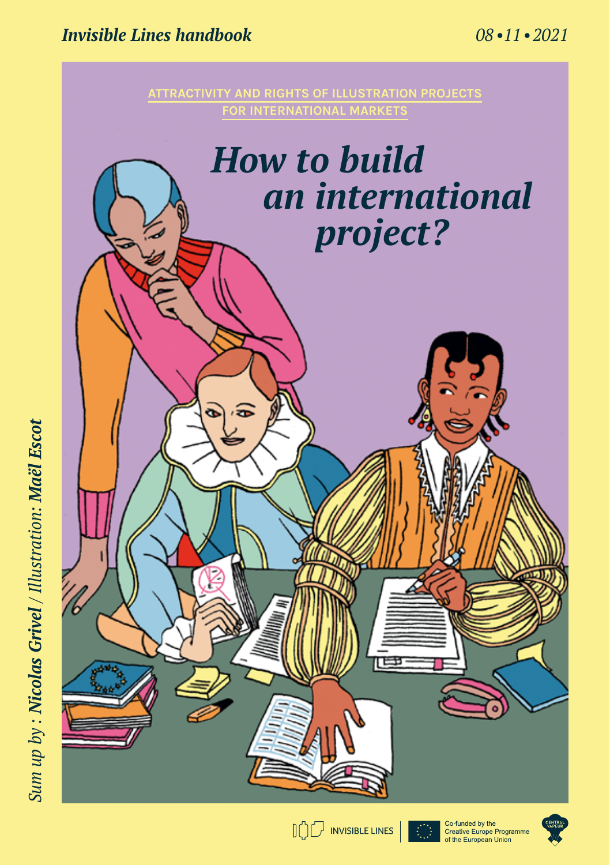## *Invisible Lines handbook 08 •11 • 2021*

**for international markets**

# *How to build an international project?*

Sum up by : Nicolas Grivel / Illustration: Maël Escot *Sum up by : Nicolas Grivel / Illustration: Maël Escot*







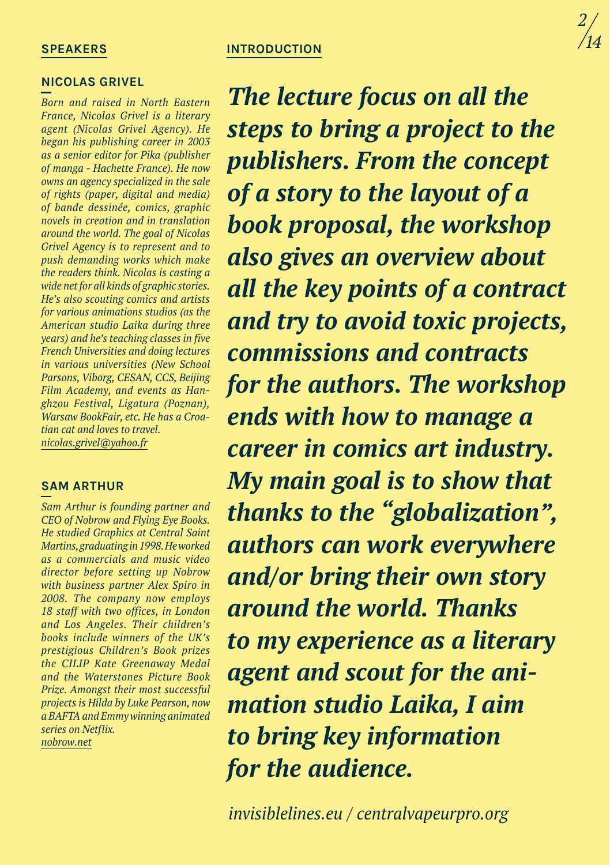#### **SPEAKERS**

#### **nicolas grivel**

*Born and raised in North Eastern France, Nicolas Grivel is a literary agent (Nicolas Grivel Agency). He began his publishing career in 2003 as a senior editor for Pika (publisher of manga - Hachette France). He now owns an agency specialized in the sale of rights (paper, digital and media) of bande dessinée, comics, graphic novels in creation and in translation around the world. The goal of Nicolas Grivel Agency is to represent and to push demanding works which make the readers think. Nicolas is casting a wide net for all kinds of graphic stories. He's also scouting comics and artists for various animations studios (as the American studio Laika during three years) and he's teaching classes in five French Universities and doing lectures in various universities (New School Parsons, Viborg, CESAN, CCS, Beijing Film Academy, and events as Hanghzou Festival, Ligatura (Poznan), Warsaw BookFair, etc. He has a Croatian cat and loves to travel. nicolas.grivel@yahoo.fr*

#### **sam arthur**

*Sam Arthur is founding partner and CEO of Nobrow and Flying Eye Books. He studied Graphics at Central Saint Martins,graduatingin1998.Heworked as a commercials and music video director before setting up Nobrow with business partner Alex Spiro in 2008. The company now employs 18 staff with two offices, in London and Los Angeles. Their children's books include winners of the UK's prestigious Children's Book prizes the CILIP Kate Greenaway Medal and the Waterstones Picture Book Prize. Amongst their most successful projects is Hilda by Luke Pearson, now a BAFTA and Emmy winning animated series on Netflix. nobrow.net*

## **introduction**

*The lecture focus on all the steps to bring a project to the publishers. From the concept of a story to the layout of a book proposal, the workshop also gives an overview about all the key points of a contract and try to avoid toxic projects, commissions and contracts for the authors. The workshop ends with how to manage a career in comics art industry. My main goal is to show that thanks to the "globalization", authors can work everywhere and/or bring their own story around the world. Thanks to my experience as a literary agent and scout for the animation studio Laika, I aim to bring key information for the audience.*

*invisiblelines.eu / centralvapeurpro.org*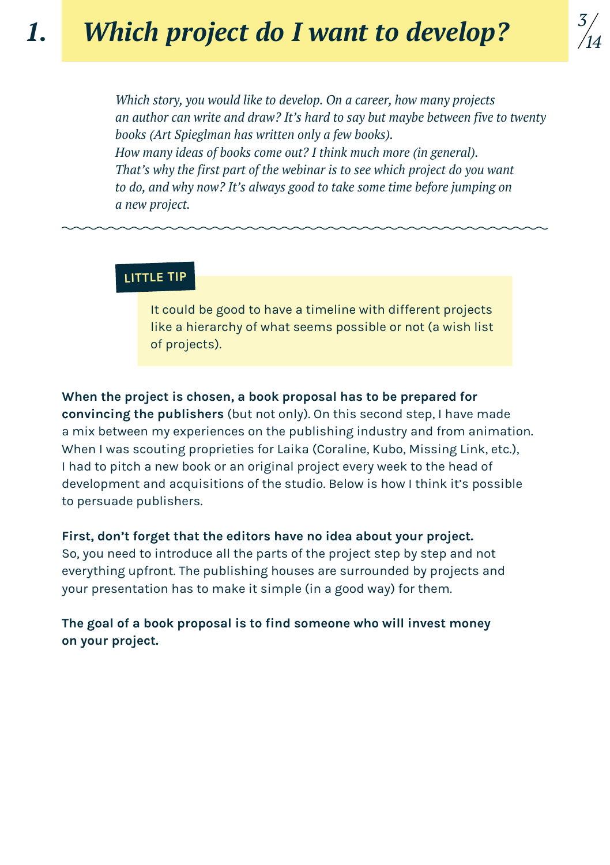*Which story, you would like to develop. On a career, how many projects an author can write and draw? It's hard to say but maybe between five to twenty books (Art Spieglman has written only a few books). How many ideas of books come out? I think much more (in general). That's why the first part of the webinar is to see which project do you want to do, and why now? It's always good to take some time before jumping on a new project.* 

## **little tip**

It could be good to have a timeline with different projects like a hierarchy of what seems possible or not (a wish list of projects).

**When the project is chosen, a book proposal has to be prepared for convincing the publishers** (but not only). On this second step, I have made a mix between my experiences on the publishing industry and from animation. When I was scouting proprieties for Laika (Coraline, Kubo, Missing Link, etc.), I had to pitch a new book or an original project every week to the head of development and acquisitions of the studio. Below is how I think it's possible to persuade publishers.

## **First, don't forget that the editors have no idea about your project.**

So, you need to introduce all the parts of the project step by step and not everything upfront. The publishing houses are surrounded by projects and your presentation has to make it simple (in a good way) for them.

## **The goal of a book proposal is to find someone who will invest money on your project.**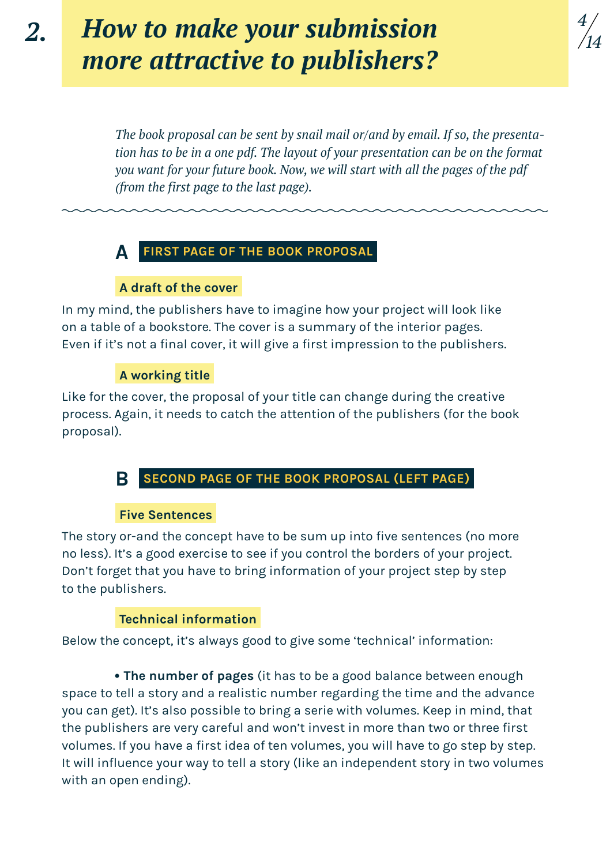# *How to make your submission more attractive to publishers?*

*The book proposal can be sent by snail mail or/and by email. If so, the presentation has to be in a one pdf. The layout of your presentation can be on the format you want for your future book. Now, we will start with all the pages of the pdf (from the first page to the last page).* 

*4*

*14*

## **First page of the book proposal A**

#### **A draft of the cover**

In my mind, the publishers have to imagine how your project will look like on a table of a bookstore. The cover is a summary of the interior pages. Even if it's not a final cover, it will give a first impression to the publishers.

#### **A working title**

Like for the cover, the proposal of your title can change during the creative process. Again, it needs to catch the attention of the publishers (for the book proposal).

#### **Second page of the book proposal (left page) B**

#### **Five Sentences**

The story or-and the concept have to be sum up into five sentences (no more no less). It's a good exercise to see if you control the borders of your project. Don't forget that you have to bring information of your project step by step to the publishers.

#### **Technical information**

Below the concept, it's always good to give some 'technical' information:

 **• The number of pages** (it has to be a good balance between enough space to tell a story and a realistic number regarding the time and the advance you can get). It's also possible to bring a serie with volumes. Keep in mind, that the publishers are very careful and won't invest in more than two or three first volumes. If you have a first idea of ten volumes, you will have to go step by step. It will influence your way to tell a story (like an independent story in two volumes with an open ending).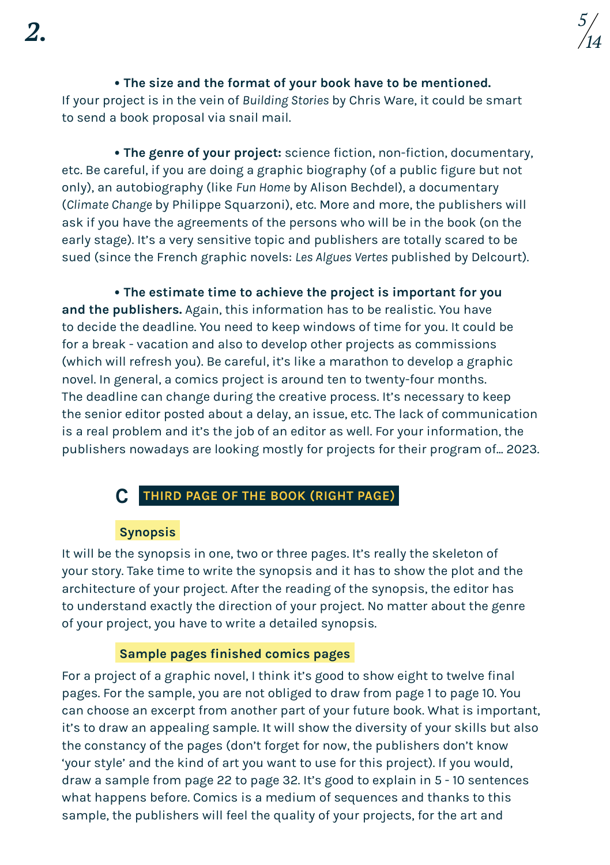**• The size and the format of your book have to be mentioned.** If your project is in the vein of *Building Stories* by Chris Ware, it could be smart to send a book proposal via snail mail.

 **• The genre of your project:** science fiction, non-fiction, documentary, etc. Be careful, if you are doing a graphic biography (of a public figure but not only), an autobiography (like *Fun Home* by Alison Bechdel), a documentary (*Climate Change* by Philippe Squarzoni), etc. More and more, the publishers will ask if you have the agreements of the persons who will be in the book (on the early stage). It's a very sensitive topic and publishers are totally scared to be sued (since the French graphic novels: *Les Algues Vertes* published by Delcourt).

 **• The estimate time to achieve the project is important for you and the publishers.** Again, this information has to be realistic. You have to decide the deadline. You need to keep windows of time for you. It could be for a break - vacation and also to develop other projects as commissions (which will refresh you). Be careful, it's like a marathon to develop a graphic novel. In general, a comics project is around ten to twenty-four months. The deadline can change during the creative process. It's necessary to keep the senior editor posted about a delay, an issue, etc. The lack of communication is a real problem and it's the job of an editor as well. For your information, the publishers nowadays are looking mostly for projects for their program of... 2023.

## **Third page of the book (right page) c**

#### **Synopsis**

It will be the synopsis in one, two or three pages. It's really the skeleton of your story. Take time to write the synopsis and it has to show the plot and the architecture of your project. After the reading of the synopsis, the editor has to understand exactly the direction of your project. No matter about the genre of your project, you have to write a detailed synopsis.

#### **Sample pages finished comics pages**

For a project of a graphic novel, I think it's good to show eight to twelve final pages. For the sample, you are not obliged to draw from page 1 to page 10. You can choose an excerpt from another part of your future book. What is important, it's to draw an appealing sample. It will show the diversity of your skills but also the constancy of the pages (don't forget for now, the publishers don't know 'your style' and the kind of art you want to use for this project). If you would, draw a sample from page 22 to page 32. It's good to explain in 5 - 10 sentences what happens before. Comics is a medium of sequences and thanks to this sample, the publishers will feel the quality of your projects, for the art and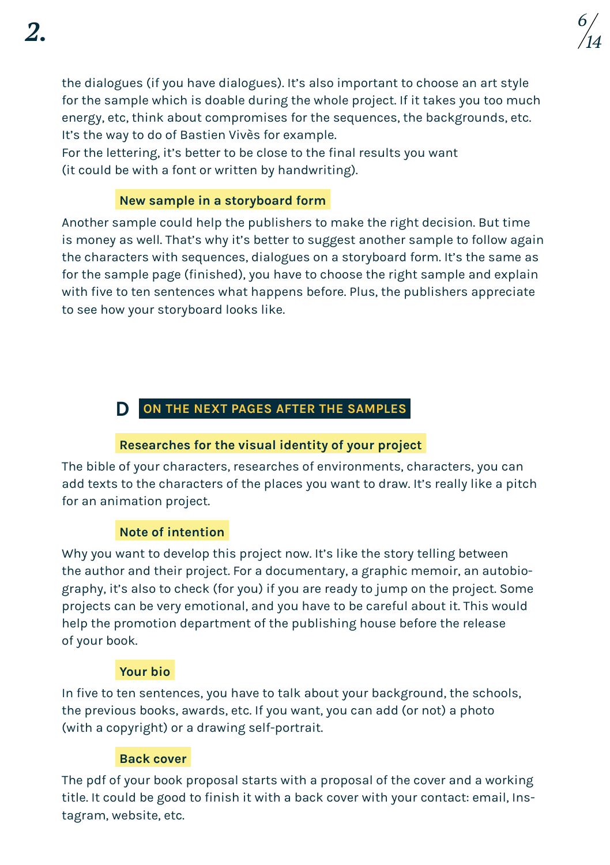the dialogues (if you have dialogues). It's also important to choose an art style for the sample which is doable during the whole project. If it takes you too much energy, etc, think about compromises for the sequences, the backgrounds, etc. It's the way to do of Bastien Vivès for example.

For the lettering, it's better to be close to the final results you want (it could be with a font or written by handwriting).

## **New sample in a storyboard form**

Another sample could help the publishers to make the right decision. But time is money as well. That's why it's better to suggest another sample to follow again the characters with sequences, dialogues on a storyboard form. It's the same as for the sample page (finished), you have to choose the right sample and explain with five to ten sentences what happens before. Plus, the publishers appreciate to see how your storyboard looks like.

## **On the next pages after the samples D**

## **Researches for the visual identity of your project**

The bible of your characters, researches of environments, characters, you can add texts to the characters of the places you want to draw. It's really like a pitch for an animation project.

## **Note of intention**

Why you want to develop this project now. It's like the story telling between the author and their project. For a documentary, a graphic memoir, an autobiography, it's also to check (for you) if you are ready to jump on the project. Some projects can be very emotional, and you have to be careful about it. This would help the promotion department of the publishing house before the release of your book.

## **Your bio**

In five to ten sentences, you have to talk about your background, the schools, the previous books, awards, etc. If you want, you can add (or not) a photo (with a copyright) or a drawing self-portrait.

## **Back cover**

The pdf of your book proposal starts with a proposal of the cover and a working title. It could be good to finish it with a back cover with your contact: email, Instagram, website, etc.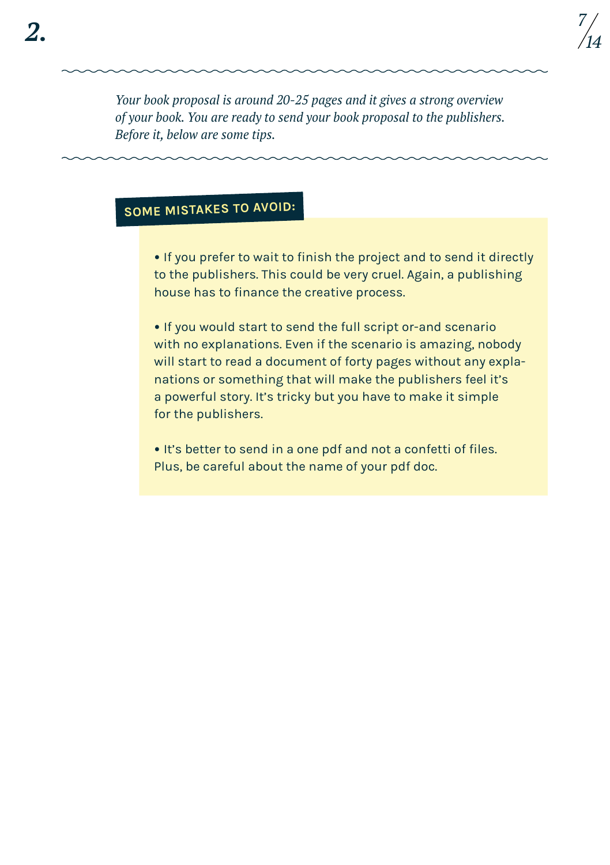*Your book proposal is around 20-25 pages and it gives a strong overview of your book. You are ready to send your book proposal to the publishers. Before it, below are some tips.* 

## **Some mistakes to avoid:**

**•** If you prefer to wait to finish the project and to send it directly to the publishers. This could be very cruel. Again, a publishing house has to finance the creative process.

**•** If you would start to send the full script or-and scenario with no explanations. Even if the scenario is amazing, nobody will start to read a document of forty pages without any explanations or something that will make the publishers feel it's a powerful story. It's tricky but you have to make it simple for the publishers.

**•** It's better to send in a one pdf and not a confetti of files. Plus, be careful about the name of your pdf doc.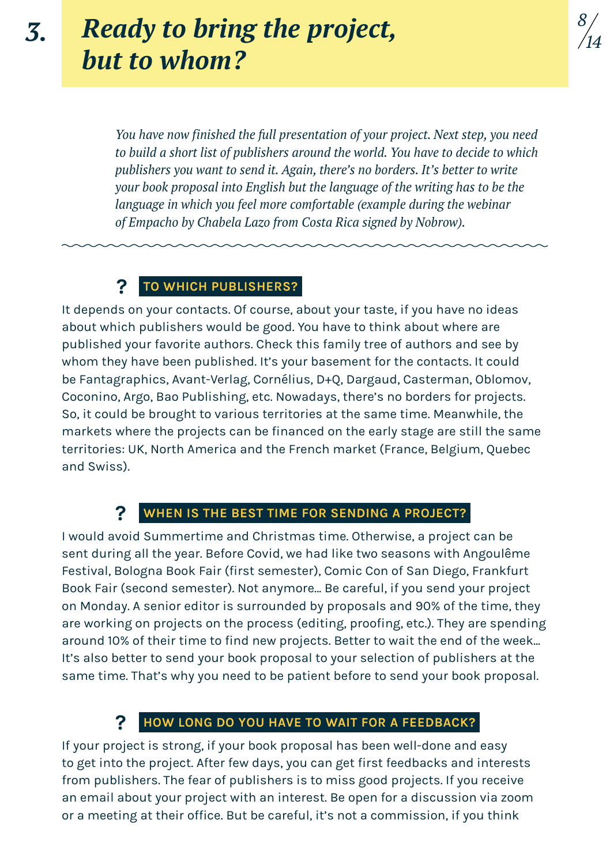# *Ready to bring the project,*  $\frac{8}{7}$ *but to whom?*

*You have now finished the full presentation of your project. Next step, you need to build a short list of publishers around the world. You have to decide to which publishers you want to send it. Again, there's no borders. It's better to write your book proposal into English but the language of the writing has to be the language in which you feel more comfortable (example during the webinar of Empacho by Chabela Lazo from Costa Rica signed by Nobrow).* 

#### **To which publishers? ?**

It depends on your contacts. Of course, about your taste, if you have no ideas about which publishers would be good. You have to think about where are published your favorite authors. Check this family tree of authors and see by whom they have been published. It's your basement for the contacts. It could be Fantagraphics, Avant-Verlag, Cornélius, D+Q, Dargaud, Casterman, Oblomov, Coconino, Argo, Bao Publishing, etc. Nowadays, there's no borders for projects. So, it could be brought to various territories at the same time. Meanwhile, the markets where the projects can be financed on the early stage are still the same territories: UK, North America and the French market (France, Belgium, Quebec and Swiss).

#### **When is the best time for sending a project? ?**

I would avoid Summertime and Christmas time. Otherwise, a project can be sent during all the year. Before Covid, we had like two seasons with Angoulême Festival, Bologna Book Fair (first semester), Comic Con of San Diego, Frankfurt Book Fair (second semester). Not anymore... Be careful, if you send your project on Monday. A senior editor is surrounded by proposals and 90% of the time, they are working on projects on the process (editing, proofing, etc.). They are spending around 10% of their time to find new projects. Better to wait the end of the week... It's also better to send your book proposal to your selection of publishers at the same time. That's why you need to be patient before to send your book proposal.

## **? How long do you have to wait for a feedback?**

If your project is strong, if your book proposal has been well-done and easy to get into the project. After few days, you can get first feedbacks and interests from publishers. The fear of publishers is to miss good projects. If you receive an email about your project with an interest. Be open for a discussion via zoom or a meeting at their office. But be careful, it's not a commission, if you think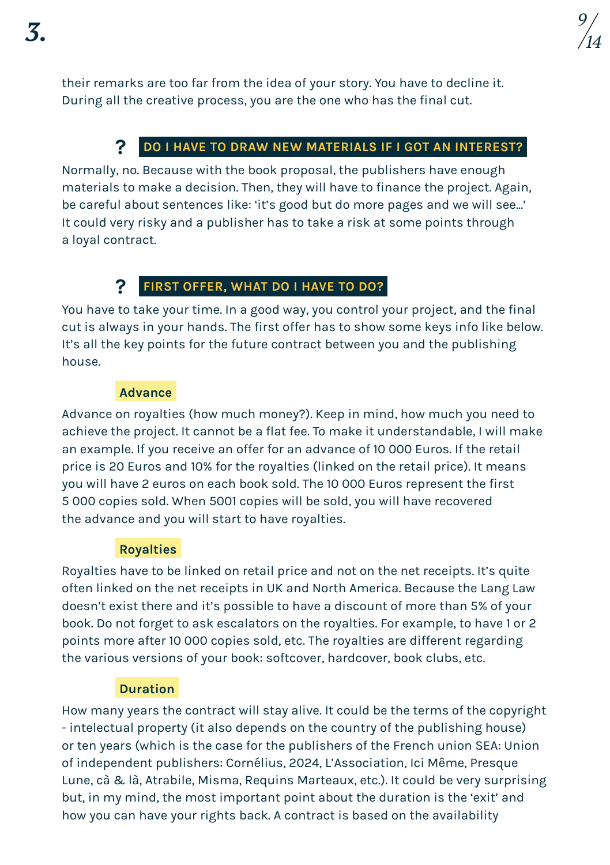their remarks are too far from the idea of your story. You have to decline it. During all the creative process, you are the one who has the final cut.

#### **Do I have to draw new materials if I got an interest? ?**

Normally, no. Because with the book proposal, the publishers have enough materials to make a decision. Then, they will have to finance the project. Again, be careful about sentences like: 'it's good but do more pages and we will see...' It could very risky and a publisher has to take a risk at some points through a loyal contract.

#### **First offer, what do I have to do? ?**

You have to take your time. In a good way, you control your project, and the final cut is always in your hands. The first offer has to show some keys info like below. It's all the key points for the future contract between you and the publishing house.

## **Advance**

Advance on royalties (how much money?). Keep in mind, how much you need to achieve the project. It cannot be a flat fee. To make it understandable, I will make an example. If you receive an offer for an advance of 10 000 Euros. If the retail price is 20 Euros and 10% for the royalties (linked on the retail price). It means you will have 2 euros on each book sold. The 10 000 Euros represent the first 5 000 copies sold. When 5001 copies will be sold, you will have recovered the advance and you will start to have royalties.

## **Royalties**

Royalties have to be linked on retail price and not on the net receipts. It's quite often linked on the net receipts in UK and North America. Because the Lang Law doesn't exist there and it's possible to have a discount of more than 5% of your book. Do not forget to ask escalators on the royalties. For example, to have 1 or 2 points more after 10 000 copies sold, etc. The royalties are different regarding the various versions of your book: softcover, hardcover, book clubs, etc.

## **Duration**

How many years the contract will stay alive. It could be the terms of the copyright - intelectual property (it also depends on the country of the publishing house) or ten years (which is the case for the publishers of the French union SEA: Union of independent publishers: Cornélius, 2024, L'Association, Ici Même, Presque Lune, cà & là, Atrabile, Misma, Requins Marteaux, etc.). It could be very surprising but, in my mind, the most important point about the duration is the 'exit' and how you can have your rights back. A contract is based on the availability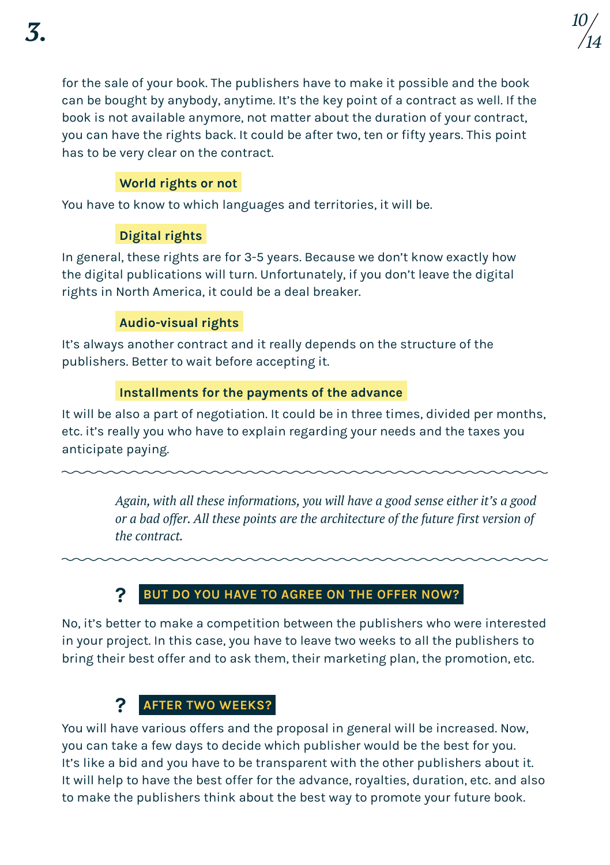for the sale of your book. The publishers have to make it possible and the book can be bought by anybody, anytime. It's the key point of a contract as well. If the book is not available anymore, not matter about the duration of your contract, you can have the rights back. It could be after two, ten or fifty years. This point has to be very clear on the contract.

## **World rights or not**

You have to know to which languages and territories, it will be.

## **Digital rights**

In general, these rights are for 3-5 years. Because we don't know exactly how the digital publications will turn. Unfortunately, if you don't leave the digital rights in North America, it could be a deal breaker.

## **Audio-visual rights**

It's always another contract and it really depends on the structure of the publishers. Better to wait before accepting it.

## **Installments for the payments of the advance**

It will be also a part of negotiation. It could be in three times, divided per months, etc. it's really you who have to explain regarding your needs and the taxes you anticipate paying.

> *Again, with all these informations, you will have a good sense either it's a good or a bad offer. All these points are the architecture of the future first version of the contract.*

## **? But do you have to agree on the offer now?**

No, it's better to make a competition between the publishers who were interested in your project. In this case, you have to leave two weeks to all the publishers to bring their best offer and to ask them, their marketing plan, the promotion, etc.

## **? After two weeks?**

You will have various offers and the proposal in general will be increased. Now, you can take a few days to decide which publisher would be the best for you. It's like a bid and you have to be transparent with the other publishers about it. It will help to have the best offer for the advance, royalties, duration, etc. and also to make the publishers think about the best way to promote your future book.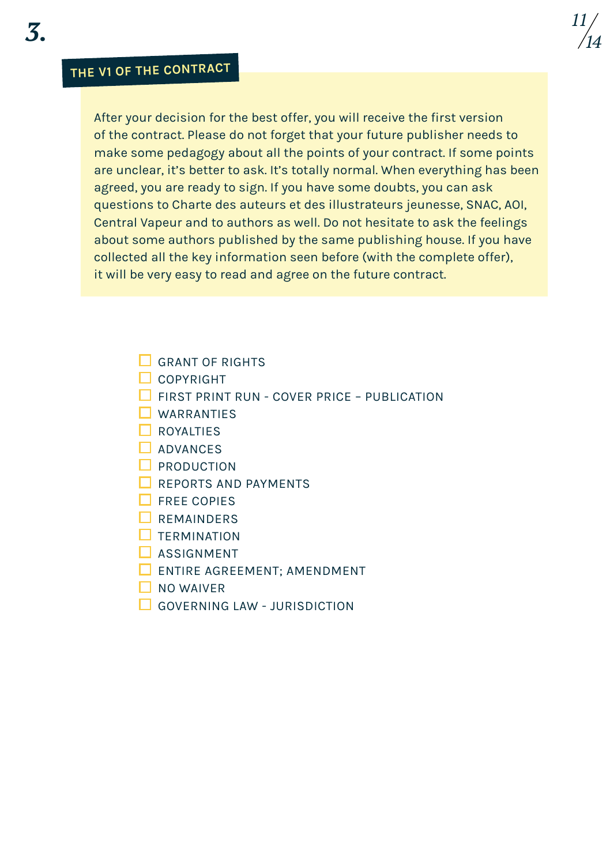## **The V1 of the contract**

After your decision for the best offer, you will receive the first version of the contract. Please do not forget that your future publisher needs to make some pedagogy about all the points of your contract. If some points are unclear, it's better to ask. It's totally normal. When everything has been agreed, you are ready to sign. If you have some doubts, you can ask questions to Charte des auteurs et des illustrateurs jeunesse, SNAC, AOI, Central Vapeur and to authors as well. Do not hesitate to ask the feelings about some authors published by the same publishing house. If you have collected all the key information seen before (with the complete offer), it will be very easy to read and agree on the future contract.

*11 14*

- GRANT OF RIGHTS
- $\Box$  COPYRIGHT
- $\Box$  FIRST PRINT RUN COVER PRICE PUBLICATION
- **NARRANTIES**
- $\Box$  ROYALTIES
- $\Box$  ADVANCES
- $\square$  PRODUCTION
- **REPORTS AND PAYMENTS**
- $\Box$  FREE COPIES
- $\Box$  REMAINDERS
- $\Box$  TERMINATION
- $\square$  ASSIGNMENT
- $\Box$  ENTIRE AGREEMENT: AMENDMENT
- $\n **N**$  NO WAIVER
- GOVERNING LAW ILIRISDICTION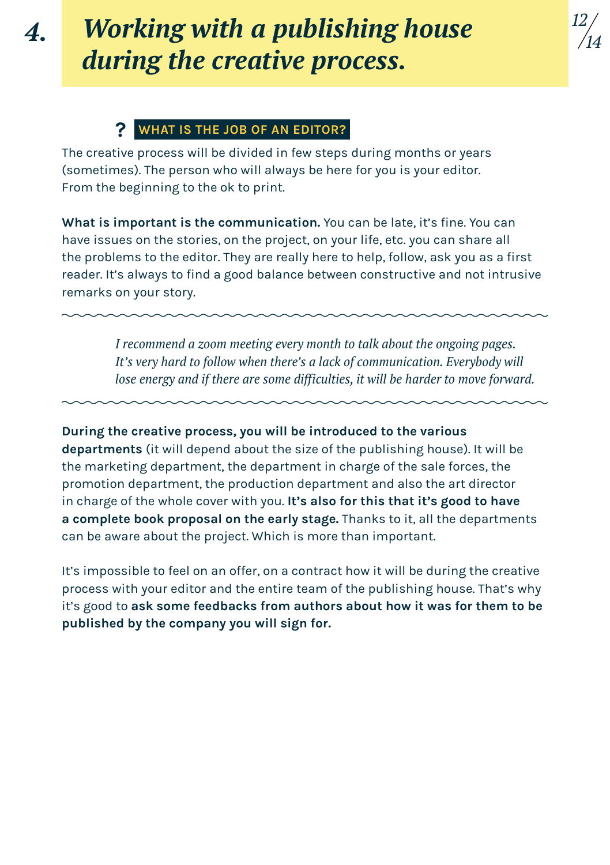*4.*

# *Working with a publishing house during the creative process.*

*12 14*

## **? What is the job of an editor?**

The creative process will be divided in few steps during months or years (sometimes). The person who will always be here for you is your editor. From the beginning to the ok to print.

**What is important is the communication.** You can be late, it's fine. You can have issues on the stories, on the project, on your life, etc. you can share all the problems to the editor. They are really here to help, follow, ask you as a first reader. It's always to find a good balance between constructive and not intrusive remarks on your story.

> *I recommend a zoom meeting every month to talk about the ongoing pages. It's very hard to follow when there's a lack of communication. Everybody will lose energy and if there are some difficulties, it will be harder to move forward.*

**During the creative process, you will be introduced to the various departments** (it will depend about the size of the publishing house). It will be the marketing department, the department in charge of the sale forces, the promotion department, the production department and also the art director in charge of the whole cover with you. **It's also for this that it's good to have a complete book proposal on the early stage.** Thanks to it, all the departments can be aware about the project. Which is more than important.

It's impossible to feel on an offer, on a contract how it will be during the creative process with your editor and the entire team of the publishing house. That's why it's good to **ask some feedbacks from authors about how it was for them to be published by the company you will sign for.**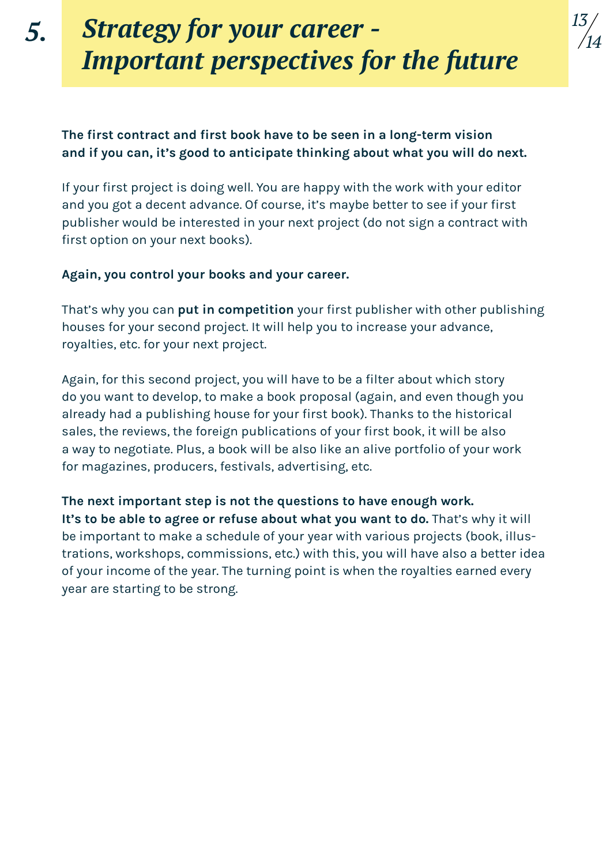# *Strategy for your career - Important perspectives for the future*

## **The first contract and first book have to be seen in a long-term vision and if you can, it's good to anticipate thinking about what you will do next.**

If your first project is doing well. You are happy with the work with your editor and you got a decent advance. Of course, it's maybe better to see if your first publisher would be interested in your next project (do not sign a contract with first option on your next books).

## **Again, you control your books and your career.**

That's why you can **put in competition** your first publisher with other publishing houses for your second project. It will help you to increase your advance, royalties, etc. for your next project.

Again, for this second project, you will have to be a filter about which story do you want to develop, to make a book proposal (again, and even though you already had a publishing house for your first book). Thanks to the historical sales, the reviews, the foreign publications of your first book, it will be also a way to negotiate. Plus, a book will be also like an alive portfolio of your work for magazines, producers, festivals, advertising, etc.

**The next important step is not the questions to have enough work.**  It's to be able to agree or refuse about what you want to do. That's why it will be important to make a schedule of your year with various projects (book, illustrations, workshops, commissions, etc.) with this, you will have also a better idea of your income of the year. The turning point is when the royalties earned every year are starting to be strong.